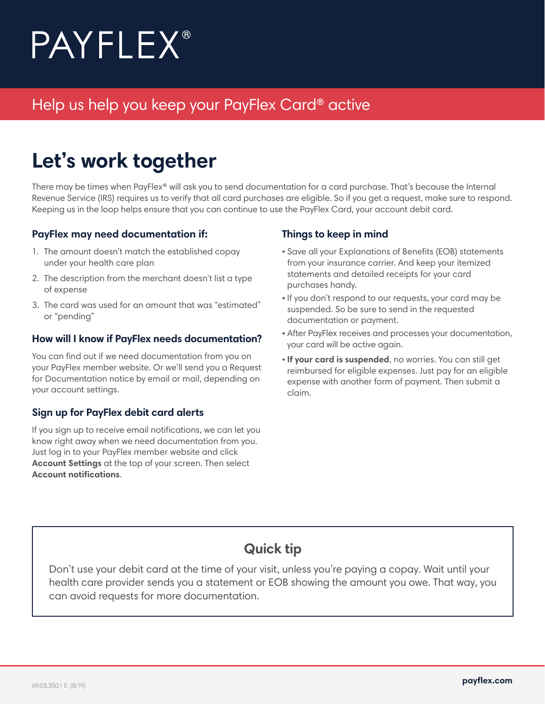# **PAYFLEX**®

### Help us help you keep your PayFlex Card® active

# **Let's work together**

There may be times when PayFlex® will ask you to send documentation for a card purchase. That's because the Internal Revenue Service (IRS) requires us to verify that all card purchases are eligible. So if you get a request, make sure to respond. Keeping us in the loop helps ensure that you can continue to use the PayFlex Card, your account debit card.

#### **PayFlex may need documentation if:**

- 1. The amount doesn't match the established copay under your health care plan
- 2. The description from the merchant doesn't list a type of expense
- 3. The card was used for an amount that was "estimated" or "pending"

### **How will I know if PayFlex needs documentation?**

You can find out if we need documentation from you on your PayFlex member website. Or we'll send you a Request for Documentation notice by email or mail, depending on your account settings.

### **Sign up for PayFlex debit card alerts**

If you sign up to receive email notifications, we can let you know right away when we need documentation from you. Just log in to your PayFlex member website and click **Account Settings** at the top of your screen. Then select **Account notifications**.

### **Things to keep in mind**

- Save all your Explanations of Benefits (EOB) statements from your insurance carrier. And keep your itemized statements and detailed receipts for your card purchases handy.
- If you don't respond to our requests, your card may be suspended. So be sure to send in the requested documentation or payment.
- After PayFlex receives and processes your documentation, your card will be active again.
- **If your card is suspended**, no worries. You can still get reimbursed for eligible expenses. Just pay for an eligible expense with another form of payment. Then submit a claim.

### **Quick tip**

Don't use your debit card at the time of your visit, unless you're paying a copay. Wait until your health care provider sends you a statement or EOB showing the amount you owe. That way, you can avoid requests for more documentation.